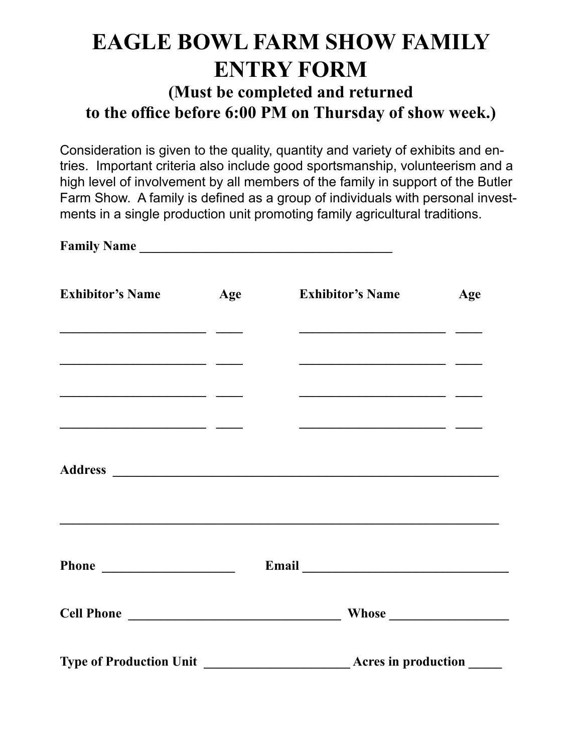## **EAGLE BOWL FARM SHOW FAMILY ENTRY FORM**

## **(Must be completed and returned to the office before 6:00 PM on Thursday of show week.)**

Consideration is given to the quality, quantity and variety of exhibits and entries. Important criteria also include good sportsmanship, volunteerism and a high level of involvement by all members of the family in support of the Butler Farm Show. A family is defined as a group of individuals with personal investments in a single production unit promoting family agricultural traditions.

| Family Name                                                                                                                                                                                                                          |     |                            |                                                           |     |
|--------------------------------------------------------------------------------------------------------------------------------------------------------------------------------------------------------------------------------------|-----|----------------------------|-----------------------------------------------------------|-----|
| <b>Exhibitor's Name</b>                                                                                                                                                                                                              | Age |                            | <b>Exhibitor's Name</b>                                   | Age |
| <u> 1989 - Jan Barbara, manazarta bashkar a shekara t</u><br><u> 1989 - Jan Stein Stein, fransk politik (f. 1989)</u>                                                                                                                |     |                            | <u> 1989 - John Stein, Amerikaansk politiker (* 1908)</u> |     |
| <u> 1989 - Johann Barn, mars and de Branch and de Branch and de Branch and de Branch and de Branch and de Branch and de Branch and de Branch and de Branch and de Branch and de Branch and de Branch and de Branch and de Branch</u> |     |                            | <u> 1988 - Jan Barbara, martxa al II-lea (b. 1988)</u>    |     |
| <u> 1989 - Johann Harrison, fransk politik (d. 1989)</u>                                                                                                                                                                             |     |                            | <u> 1980 - Jan Barbara, martxa al II-lea (h. 1980).</u>   |     |
|                                                                                                                                                                                                                                      |     |                            |                                                           |     |
| Phone                                                                                                                                                                                                                                |     |                            |                                                           |     |
|                                                                                                                                                                                                                                      |     |                            |                                                           |     |
| <b>Type of Production Unit</b>                                                                                                                                                                                                       |     | <b>Acres in production</b> |                                                           |     |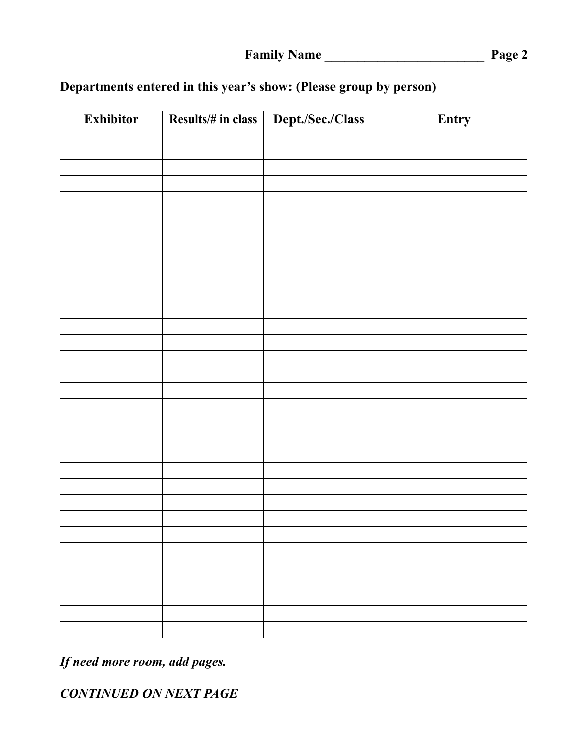| <b>Exhibitor</b> | Results/# in class | Dept./Sec./Class | Entry |
|------------------|--------------------|------------------|-------|
|                  |                    |                  |       |
|                  |                    |                  |       |
|                  |                    |                  |       |
|                  |                    |                  |       |
|                  |                    |                  |       |
|                  |                    |                  |       |
|                  |                    |                  |       |
|                  |                    |                  |       |
|                  |                    |                  |       |
|                  |                    |                  |       |
|                  |                    |                  |       |
|                  |                    |                  |       |
|                  |                    |                  |       |
|                  |                    |                  |       |
|                  |                    |                  |       |
|                  |                    |                  |       |
|                  |                    |                  |       |
|                  |                    |                  |       |
|                  |                    |                  |       |
|                  |                    |                  |       |
|                  |                    |                  |       |
|                  |                    |                  |       |
|                  |                    |                  |       |
|                  |                    |                  |       |
|                  |                    |                  |       |
|                  |                    |                  |       |
|                  |                    |                  |       |
|                  |                    |                  |       |
|                  |                    |                  |       |
|                  |                    |                  |       |
|                  |                    |                  |       |

## **Departments entered in this year's show: (Please group by person)**

*If need more room, add pages.*

*CONTINUED ON NEXT PAGE*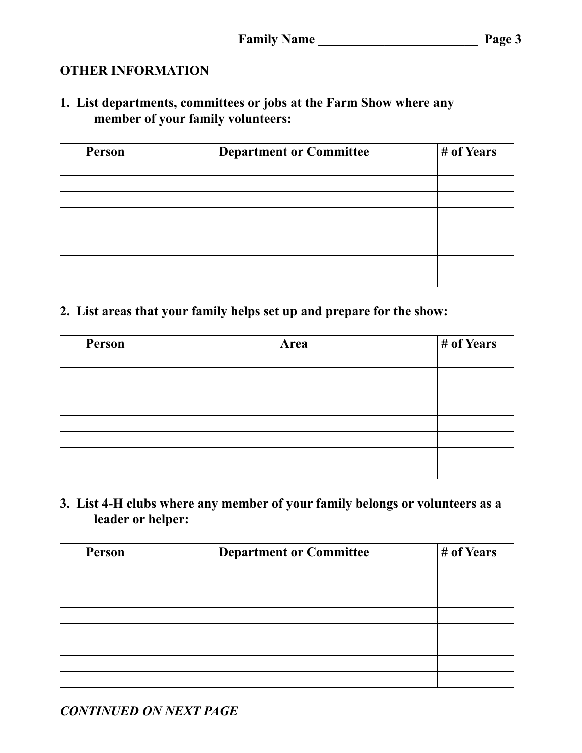## **OTHER INFORMATION**

**1. List departments, committees or jobs at the Farm Show where any member of your family volunteers:**

| Person | <b>Department or Committee</b> | # of Years |
|--------|--------------------------------|------------|
|        |                                |            |
|        |                                |            |
|        |                                |            |
|        |                                |            |
|        |                                |            |
|        |                                |            |
|        |                                |            |
|        |                                |            |

**2. List areas that your family helps set up and prepare for the show:**

| Person | Area | # of Years |
|--------|------|------------|
|        |      |            |
|        |      |            |
|        |      |            |
|        |      |            |
|        |      |            |
|        |      |            |
|        |      |            |
|        |      |            |

**3. List 4-H clubs where any member of your family belongs or volunteers as a leader or helper:**

| Person | <b>Department or Committee</b> | # of Years |
|--------|--------------------------------|------------|
|        |                                |            |
|        |                                |            |
|        |                                |            |
|        |                                |            |
|        |                                |            |
|        |                                |            |
|        |                                |            |
|        |                                |            |

*CONTINUED ON NEXT PAGE*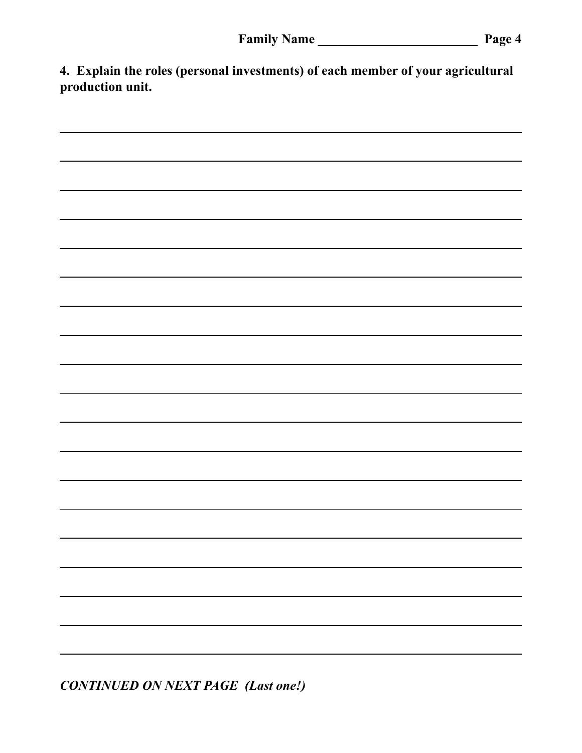**4. Explain the roles (personal investments) of each member of your agricultural production unit.**



*CONTINUED ON NEXT PAGE (Last one!)*